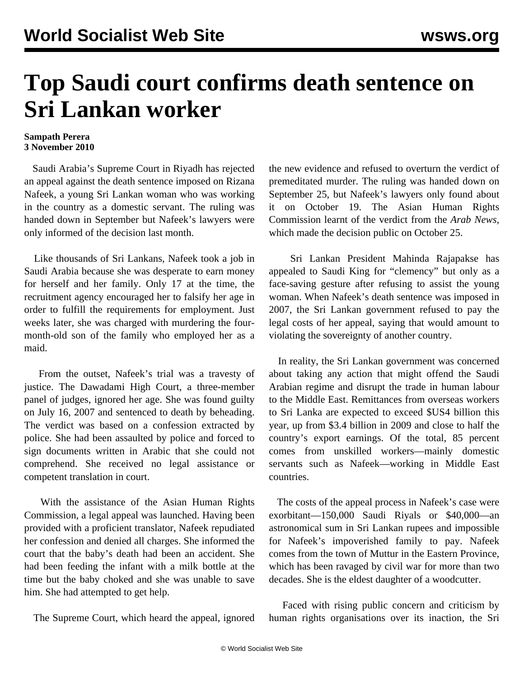## **Top Saudi court confirms death sentence on Sri Lankan worker**

## **Sampath Perera 3 November 2010**

 Saudi Arabia's Supreme Court in Riyadh has rejected an appeal against the death sentence imposed on Rizana Nafeek, a young Sri Lankan woman who was working in the country as a domestic servant. The ruling was handed down in September but Nafeek's lawyers were only informed of the decision last month.

 Like thousands of Sri Lankans, Nafeek took a job in Saudi Arabia because she was desperate to earn money for herself and her family. Only 17 at the time, the recruitment agency encouraged her to falsify her age in order to fulfill the requirements for employment. Just weeks later, she was charged with murdering the fourmonth-old son of the family who employed her as a maid.

 From the outset, Nafeek's trial was a travesty of justice. The Dawadami High Court, a three-member panel of judges, ignored her age. She was found guilty on July 16, 2007 and sentenced to death by beheading. The verdict was based on a confession extracted by police. She had been assaulted by police and forced to sign documents written in Arabic that she could not comprehend. She received no legal assistance or competent translation in court.

 With the assistance of the Asian Human Rights Commission, a legal appeal was launched. Having been provided with a proficient translator, Nafeek repudiated her confession and denied all charges. She informed the court that the baby's death had been an accident. She had been feeding the infant with a milk bottle at the time but the baby choked and she was unable to save him. She had attempted to get help.

The Supreme Court, which heard the appeal, ignored

the new evidence and refused to overturn the verdict of premeditated murder. The ruling was handed down on September 25, but Nafeek's lawyers only found about it on October 19. The Asian Human Rights Commission learnt of the verdict from the *Arab News,* which made the decision public on October 25.

 Sri Lankan President Mahinda Rajapakse has appealed to Saudi King for "clemency" but only as a face-saving gesture after refusing to assist the young woman. When Nafeek's death sentence was imposed in 2007, the Sri Lankan government refused to pay the legal costs of her appeal, saying that would amount to violating the sovereignty of another country.

 In reality, the Sri Lankan government was concerned about taking any action that might offend the Saudi Arabian regime and disrupt the trade in human labour to the Middle East. Remittances from overseas workers to Sri Lanka are expected to exceed \$US4 billion this year, up from \$3.4 billion in 2009 and close to half the country's export earnings. Of the total, 85 percent comes from unskilled workers—mainly domestic servants such as Nafeek—working in Middle East countries.

 The costs of the appeal process in Nafeek's case were exorbitant—150,000 Saudi Riyals or \$40,000—an astronomical sum in Sri Lankan rupees and impossible for Nafeek's impoverished family to pay. Nafeek comes from the town of Muttur in the Eastern Province, which has been ravaged by civil war for more than two decades. She is the eldest daughter of a woodcutter.

 Faced with rising public concern and criticism by human rights organisations over its inaction, the Sri